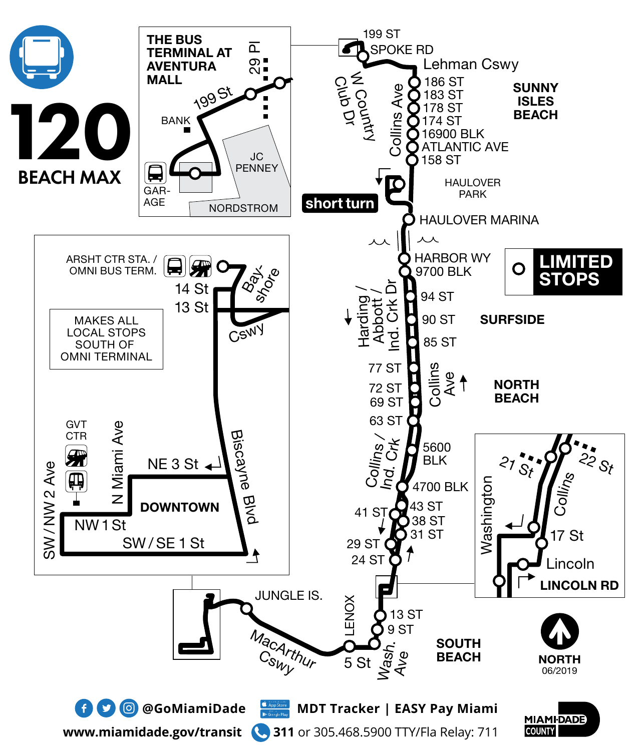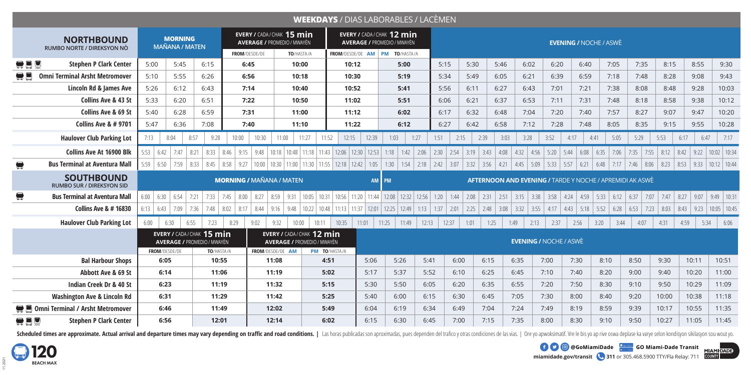|                                                | <b>WEEKDAYS</b> / DIAS LABORABLES / LACÈMEN<br><b>EVERY / CADA/CHAK 12 min</b> |                      |                       |                                         |      |                    |                                                                                     |                                                                       |             |                                                                                                  |                                                                                   |                      |       |       |                                       |       |       |                               |              |                                                                                                                                             |      |                                  |                               |      |              |                                                                 |       |      |                                                                                                                                                                                                                          |       |      |       |               |
|------------------------------------------------|--------------------------------------------------------------------------------|----------------------|-----------------------|-----------------------------------------|------|--------------------|-------------------------------------------------------------------------------------|-----------------------------------------------------------------------|-------------|--------------------------------------------------------------------------------------------------|-----------------------------------------------------------------------------------|----------------------|-------|-------|---------------------------------------|-------|-------|-------------------------------|--------------|---------------------------------------------------------------------------------------------------------------------------------------------|------|----------------------------------|-------------------------------|------|--------------|-----------------------------------------------------------------|-------|------|--------------------------------------------------------------------------------------------------------------------------------------------------------------------------------------------------------------------------|-------|------|-------|---------------|
|                                                | <b>NORTHBOUND</b><br>RUMBO NORTE / DIREKSYON NÒ                                |                      |                       | <b>MORNING</b><br><b>MAÑANA / MATEN</b> |      |                    |                                                                                     | <b>EVERY / CADA/CHAK 15 min</b><br><b>AVERAGE / PROMEDIO / MWAYÈN</b> |             |                                                                                                  |                                                                                   |                      |       |       | <b>AVERAGE / PROMEDIO / MWAYÈN</b>    |       |       | <b>EVENING / NOCHE / ASWÈ</b> |              |                                                                                                                                             |      |                                  |                               |      |              |                                                                 |       |      |                                                                                                                                                                                                                          |       |      |       |               |
|                                                |                                                                                |                      |                       |                                         |      |                    |                                                                                     | FROM/DESDE/DE                                                         |             |                                                                                                  | TO/HASTA/A                                                                        |                      |       |       | <b>FROM/DESDE/DE AM PM TO/HASTA/A</b> |       |       |                               |              |                                                                                                                                             |      |                                  |                               |      |              |                                                                 |       |      |                                                                                                                                                                                                                          |       |      |       |               |
| <b>FIC</b>                                     | <b>Stephen P Clark Center</b>                                                  | 5:00                 |                       | 5:45                                    |      | 6:15               |                                                                                     | 6:45                                                                  |             |                                                                                                  | 10:00                                                                             |                      | 10:12 |       |                                       |       | 5:00  |                               | 5:15<br>5:30 |                                                                                                                                             |      | 5:46                             | 6:02                          |      | 6:20<br>6:40 |                                                                 |       | 7:05 | 7:35                                                                                                                                                                                                                     | 8:15  |      | 8:55  | 9:30          |
|                                                | <b>Omni Terminal Arsht Metromover</b>                                          | 5:55<br>5:10<br>6:26 |                       |                                         |      | 6:56               |                                                                                     |                                                                       | 10:18       |                                                                                                  |                                                                                   | 10:30                |       |       | 5:19                                  |       | 5:34  | 5:49                          |              | 6:05                                                                                                                                        | 6:21 |                                  | 6:39                          |      | 7:18<br>6:59 |                                                                 | 7:48  | 8:28 |                                                                                                                                                                                                                          | 9:08  | 9:43 |       |               |
|                                                | Lincoln Rd & James Ave<br>5:26<br>6:12<br>6:43                                 |                      |                       |                                         | 7:14 |                    |                                                                                     | 10:40                                                                 |             |                                                                                                  | 10:52                                                                             |                      | 5:41  |       |                                       | 5:56  |       | 6:11                          |              | 6:43                                                                                                                                        |      | 7:01                             | 7:21                          |      | 7:38         | 8:08                                                            | 8:48  |      | 9:28                                                                                                                                                                                                                     | 10:03 |      |       |               |
|                                                | <b>Collins Ave &amp; 43 St</b><br>5:33                                         |                      |                       | 6:20                                    |      | 6:51               |                                                                                     |                                                                       | 7:22        |                                                                                                  | 10:50                                                                             |                      |       | 11:02 |                                       |       | 5:51  |                               | 6:06         |                                                                                                                                             | 6:21 | 6:37                             | 6:53                          |      | 7:11         | 7:31                                                            |       | 7:48 | 8:18                                                                                                                                                                                                                     | 8:58  |      | 9:38  | 10:12         |
| Collins Ave & 69 St                            |                                                                                |                      | 5:40<br>6:28<br>6:59  |                                         |      | 7:31               |                                                                                     |                                                                       | 11:00       |                                                                                                  |                                                                                   | 11:12                |       |       | 6:02                                  |       |       | 6:17                          |              | 6:32                                                                                                                                        |      | 7:04                             |                               | 7:20 | 7:40         |                                                                 | 7:57  | 8:27 | 9:07                                                                                                                                                                                                                     |       | 9:47 | 10:20 |               |
|                                                | <b>Collins Ave &amp; # 9701</b>                                                | 5:47<br>6:36         |                       |                                         | 7:08 | 7:40               |                                                                                     |                                                                       |             | 11:10                                                                                            | 11:22                                                                             |                      |       |       |                                       | 6:12  |       | 6:27                          | 6:42         |                                                                                                                                             | 6:58 | 7:12                             |                               | 7:28 | 7:48         |                                                                 | 8:05  | 8:35 | 9:15                                                                                                                                                                                                                     |       | 9:55 | 10:28 |               |
|                                                | <b>Haulover Club Parking Lot</b>                                               | 7:13                 |                       | 8:04                                    | 8:57 | 9:28               |                                                                                     | 10:00                                                                 | 10:30       | 11:00                                                                                            | 11:27                                                                             | 11:52                |       | 12:15 | 12:39                                 | 1:03  |       | 1:27                          | 1:51         | 2:15                                                                                                                                        | 2:39 | 3:03                             | 3:28                          |      | 3:52         | 4:17                                                            | 4:41  | 5:05 | 5:29                                                                                                                                                                                                                     | 5:53  | 6:17 | 6:47  | 7:17          |
|                                                | <b>Collins Ave At 16900 Blk</b>                                                | 5:53                 |                       | $6:42$ 7:47                             | 8:21 | 8:33               | 8:46                                                                                | 9:15                                                                  |             |                                                                                                  | 9:48   10:18   10:48   11:18   11:43   12:06   12:30   12:53   1:18   1:42   2:06 |                      |       |       |                                       |       |       |                               |              |                                                                                                                                             |      | 2:30   2:54   3:19   3:43   4:08 | 4:32 4:56 5:20                |      |              | $5:44$ 6:08                                                     | 6:35  | 7:06 | 7:35   7:55   8:12   8:42   9:22                                                                                                                                                                                         |       |      |       | $10:02$ 10:34 |
| ●                                              | <b>Bus Terminal at Aventura Mall</b>                                           |                      |                       |                                         |      |                    |                                                                                     |                                                                       |             |                                                                                                  |                                                                                   |                      |       |       |                                       |       |       |                               |              |                                                                                                                                             |      |                                  |                               |      |              |                                                                 |       |      | 5:59 6:50 7:59 8:33 8:45 8:58 9:27 10:00 10:30 11:00 11:30 11:50 12:18 12:42 1:05 1:30 2:42 2:18 2:42 3:07 3:32 3:56 4:21 4:45 5:09 5:33 5:57 6:21 6:48 7:17 7:46 8:06 8:23 8:53 9:33 10:12 10:00 10:30 11:10            |       |      |       |               |
|                                                | <b>SOUTHBOUND</b><br><b>RUMBO SUR / DIREKSYON SID</b>                          |                      |                       |                                         |      |                    | <b>MORNING / MAÑANA / MATEN</b>                                                     |                                                                       |             |                                                                                                  |                                                                                   |                      |       |       | AM PM                                 |       |       |                               |              |                                                                                                                                             |      |                                  |                               |      |              | <b>AFTERNOON AND EVENING / TARDE Y NOCHE / APREMIDI AK ASWE</b> |       |      |                                                                                                                                                                                                                          |       |      |       |               |
| ●                                              | <b>Bus Terminal at Aventura Mall</b>                                           |                      | $6:00$ 6:30           | 6:54                                    | 7:21 | $7:33$ 7:45        |                                                                                     | 8:00                                                                  | $8:27$ 8:59 |                                                                                                  | 9:31                                                                              |                      |       |       |                                       |       |       |                               |              | $\mid$ 10:05 $\mid$ 10:31 $\mid$ 10:56 $\mid$ 11:20 $\mid$ 11:44 $\mid$ 12:08 $\mid$ 12:32 $\mid$ 12:56 $\mid$ 1:20 $\mid$ 1:44 $\mid$ 2:08 |      |                                  |                               |      |              |                                                                 |       |      | 2:31   2:51   3:15   3:38   3:58   4:24   4:59   5:33   6:12   6:37   7:07   7:47   8:27   9:07                                                                                                                          |       |      |       | $9:49$ 10:31  |
|                                                | <b>Collins Ave &amp; # 16830</b>                                               |                      |                       | $6:13$ 6:43 7:09                        |      | 7:36   7:48   8:02 |                                                                                     |                                                                       |             |                                                                                                  |                                                                                   |                      |       |       |                                       |       |       |                               |              |                                                                                                                                             |      |                                  |                               |      |              |                                                                 |       |      | 8:17   8:44   9:16   9:48   10:22   10:48   11:13   11:37   12:01   12:25   12:49   1:13   1:37   2:01   2:25   2:48   3:08   3:32   3:55   4:17   4:43   5:18   5:52   6:53   7:23   8:03   8:43   9:23   10:05   10:45 |       |      |       |               |
|                                                | <b>Haulover Club Parking Lot</b>                                               | 6:00                 |                       | 6:30                                    | 6:55 | 7:23               | 8:29                                                                                | 9:02                                                                  |             | 9:32                                                                                             | 10:00                                                                             | 10:11                | 10:35 | 11:01 |                                       | 11:25 | 11:49 | 12:13                         | 12:37        | 1:01                                                                                                                                        |      | 1:25                             | 1:49                          | 2:13 | 2:37         | 2:56                                                            | 3:20  | 3:44 | 4:07                                                                                                                                                                                                                     | 4:31  | 4:59 | 5:34  | 6:06          |
|                                                |                                                                                |                      | <b>FROM</b> /DESDE/DE |                                         |      |                    | <b>EVERY / CADA/CHAK 15 min</b><br><b>AVERAGE / PROMEDIO / MWAYÈN</b><br>TO/HASTA/A |                                                                       |             | <b>EVERY / CADA/CHAK 12 min</b><br><b>AVERAGE / PROMEDIO / MWAYÈN</b><br><b>FROM/DESDE/DE AM</b> |                                                                                   | <b>PM TO/HASTA/A</b> |       |       |                                       |       |       |                               |              |                                                                                                                                             |      |                                  | <b>EVENING / NOCHE / ASWÈ</b> |      |              |                                                                 |       |      |                                                                                                                                                                                                                          |       |      |       |               |
|                                                | <b>Bal Harbour Shops</b>                                                       |                      | 6:05                  |                                         |      | 10:55              |                                                                                     |                                                                       | 11:08       |                                                                                                  |                                                                                   | 4:51                 |       |       | 5:06                                  |       | 5:26  | 5:41                          |              | 6:00                                                                                                                                        | 6:15 |                                  | 6:35                          | 7:00 |              | 7:30                                                            | 8:10  |      | 8:50                                                                                                                                                                                                                     | 9:30  |      | 10:11 | 10:51         |
| Abbott Ave & 69 St                             |                                                                                |                      | 6:14                  |                                         |      | 11:06              |                                                                                     |                                                                       | 11:19       |                                                                                                  |                                                                                   | 5:02                 |       |       | 5:17                                  |       | 5:37  | 5:52                          |              | 6:10                                                                                                                                        | 6:25 |                                  | 6:45                          | 7:10 |              | 7:40                                                            | 8:20  |      | 9:00                                                                                                                                                                                                                     | 9:40  |      | 10:20 | 11:00         |
| <b>Indian Creek Dr &amp; 40 St</b>             |                                                                                |                      | 6:23                  |                                         |      | 11:19              |                                                                                     |                                                                       | 11:32       |                                                                                                  |                                                                                   | 5:15                 |       |       | 5:30                                  |       | 5:50  | 6:05                          |              | 6:20                                                                                                                                        | 6:35 |                                  | 6:55                          | 7:20 |              | 7:50                                                            | 8:30  |      | 9:10                                                                                                                                                                                                                     | 9:50  |      | 10:29 | 11:09         |
|                                                | <b>Washington Ave &amp; Lincoln Rd</b>                                         |                      | 6:31                  |                                         |      | 11:29              |                                                                                     |                                                                       | 11:42       |                                                                                                  |                                                                                   | 5:25                 |       |       | 5:40                                  |       | 6:00  | 6:15                          |              | 6:30                                                                                                                                        | 6:45 |                                  | 7:05                          | 7:30 |              | 8:00                                                            | 8:40  |      | 9:20                                                                                                                                                                                                                     | 10:00 |      | 10:38 | 11:18         |
|                                                | <b>■</b> Omni Terminal / Arsht Metromover                                      |                      | 6:46                  |                                         |      |                    | 11:49                                                                               |                                                                       |             | 12:02                                                                                            |                                                                                   | 5:49                 |       | 6:04  |                                       | 6:19  |       | 6:34                          |              | 6:49                                                                                                                                        | 7:04 |                                  | 7:24                          | 7:49 |              | 8:19<br>8:59                                                    |       |      | 9:39                                                                                                                                                                                                                     | 10:17 |      | 10:55 | 11:35         |
| 1 E O<br><b>Stephen P Clark Center</b><br>6:56 |                                                                                |                      | 12:01                 |                                         |      | 12:14              |                                                                                     |                                                                       | 6:02        |                                                                                                  |                                                                                   | 6:15                 |       | 6:30  | 6:45                                  |       | 7:00  | 7:15                          |              | 7:35                                                                                                                                        | 8:00 |                                  | 8:30                          | 9:10 |              | 9:50                                                            | 10:27 |      | 11:05                                                                                                                                                                                                                    | 11:45 |      |       |               |

Scheduled times are approximate. Actual arrival and departure times may vary depending on traffic and road conditions. | Las horas publicadas son aproximadas, pues dependen del trafico y otras condiciones de las vias. | Or



1.202

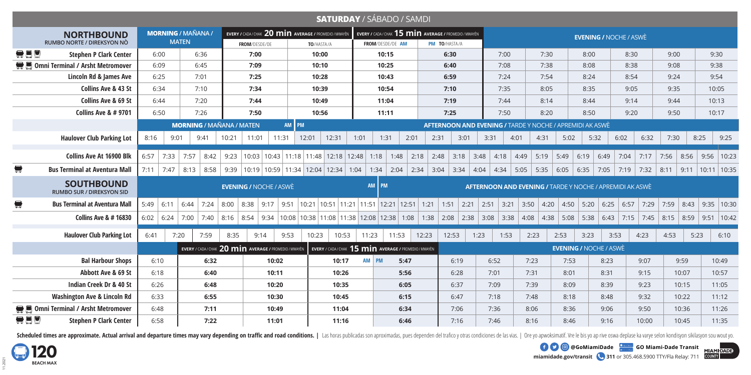|                                              | <b>SATURDAY / SÁBADO / SAMDI</b><br><b>MORNING / MAÑANA /</b><br>EVERY / CADA/CHAK 20 min AVERAGE / PROMEDIO / MWAYÈN<br>EVERY / CADA/CHAK 15 min AVERAGE / PROMEDIO / MWAYÈN |                      |              |              |                                                      |                               |                      |                |  |                |                                                                           |      |                                                      |       |                                                          |                |                               |      |      |              |      |                                                                                                                                                                                                    |      |                                                                 |                               |              |      |       |       |                |                          |  |
|----------------------------------------------|-------------------------------------------------------------------------------------------------------------------------------------------------------------------------------|----------------------|--------------|--------------|------------------------------------------------------|-------------------------------|----------------------|----------------|--|----------------|---------------------------------------------------------------------------|------|------------------------------------------------------|-------|----------------------------------------------------------|----------------|-------------------------------|------|------|--------------|------|----------------------------------------------------------------------------------------------------------------------------------------------------------------------------------------------------|------|-----------------------------------------------------------------|-------------------------------|--------------|------|-------|-------|----------------|--------------------------|--|
|                                              | <b>NORTHBOUND</b><br>RUMBO NORTE / DIREKSYON NÒ                                                                                                                               |                      |              | <b>MATEN</b> |                                                      |                               | FROM/DESDE/DE        | TO/HASTA/A     |  |                | FROM/DESDE/DE AM                                                          |      |                                                      |       | <b>PM TO/HASTA/A</b>                                     |                | <b>EVENING / NOCHE / ASWÈ</b> |      |      |              |      |                                                                                                                                                                                                    |      |                                                                 |                               |              |      |       |       |                |                          |  |
| $\blacksquare$ $\blacksquare$ $\blacksquare$ | <b>Stephen P Clark Center</b>                                                                                                                                                 |                      | 6:00<br>6:36 |              |                                                      |                               | 7:00                 |                |  | 10:00          |                                                                           |      | 10:15                                                |       |                                                          | 6:30           |                               |      |      | 7:00         |      | 7:30                                                                                                                                                                                               |      | 8:00                                                            |                               | 8:30         |      | 9:00  |       |                | 9:30                     |  |
|                                              | Omni Terminal / Arsht Metromover                                                                                                                                              |                      | 6:09<br>6:45 |              |                                                      |                               | 7:09                 |                |  |                | 10:10                                                                     |      |                                                      | 10:25 |                                                          |                | 6:40                          |      |      | 7:08         |      | 7:38                                                                                                                                                                                               |      | 8:08                                                            |                               | 8:38         |      | 9:08  |       |                | 9:38                     |  |
|                                              | Lincoln Rd & James Ave                                                                                                                                                        | 6:25<br>7:01         |              |              |                                                      | 7:25                          |                      |                |  | 10:28          |                                                                           |      | 10:43                                                |       |                                                          | 6:59           |                               |      | 7:24 |              |      | 7:54                                                                                                                                                                                               |      | 8:24                                                            |                               | 8:54         |      | 9:24  |       |                | 9:54                     |  |
|                                              | <b>Collins Ave &amp; 43 St</b>                                                                                                                                                | 6:34<br>7:10         |              |              |                                                      | 7:34                          |                      |                |  | 10:39          |                                                                           |      | 10:54                                                |       |                                                          | 7:10           |                               |      | 7:35 |              |      | 8:05                                                                                                                                                                                               |      | 8:35                                                            |                               | 9:05         |      | 9:35  |       |                | 10:05                    |  |
|                                              | Collins Ave & 69 St                                                                                                                                                           |                      | 6:44         |              | 7:20                                                 | 7:44                          |                      |                |  | 10:49          |                                                                           |      | 11:04                                                |       |                                                          | 7:19           |                               |      | 7:44 |              |      | 8:14                                                                                                                                                                                               |      | 8:44                                                            |                               | 9:14         |      | 9:44  |       |                | 10:13                    |  |
|                                              | <b>Collins Ave &amp; # 9701</b>                                                                                                                                               | 6:50<br>7:26         |              |              |                                                      | 7:50                          |                      |                |  | 10:56          |                                                                           |      | 11:11                                                |       |                                                          | 7:25           |                               |      | 7:50 |              |      | 8:20                                                                                                                                                                                               |      | 8:50                                                            |                               | 9:20         |      | 9:50  |       |                | 10:17                    |  |
|                                              |                                                                                                                                                                               |                      |              |              | <b>MORNING / MAÑANA / MATEN</b>                      |                               |                      | AM PM          |  |                |                                                                           |      |                                                      |       | AFTERNOON AND EVENING / TARDE Y NOCHE / APREMIDI AK ASWÈ |                |                               |      |      |              |      |                                                                                                                                                                                                    |      |                                                                 |                               |              |      |       |       |                |                          |  |
|                                              | <b>Haulover Club Parking Lot</b>                                                                                                                                              | 8:16<br>9:01<br>9:41 |              |              | 10:21<br>11:31<br>11:01                              |                               |                      | 12:01<br>12:31 |  | 1:01           |                                                                           | 1:31 | 2:01                                                 | 2:31  | 3:01                                                     |                | 3:31                          | 4:01 |      | 4:31<br>5:02 |      | 5:32                                                                                                                                                                                               |      | 6:02                                                            | 6:32                          | 7:30         |      | 8:25  | 9:25  |                |                          |  |
|                                              | <b>Collins Ave At 16900 Blk</b>                                                                                                                                               | 6:57                 | 7:33         | 7:57         | 8:42                                                 | 9:23                          |                      |                |  |                | $10:03$   10:43   11:18   11:48   12:18   12:48   1:18                    |      |                                                      | 1:48  | 2:18                                                     | 2:48           | 3:18                          | 3:48 | 4:18 |              | 4:49 | 5:19<br>5:49                                                                                                                                                                                       | 6:19 |                                                                 | 6:49                          | 7:04         | 7:17 | 7:56  | 8:56  |                | $9:56$   10:23           |  |
| €                                            | <b>Bus Terminal at Aventura Mall</b>                                                                                                                                          | 7:11                 | 7:47         | 8:13         | 8:58                                                 |                               |                      |                |  |                | 9:39   10:19   10:59   11:34   12:04   12:34   1:04                       |      | 1:34                                                 |       | $2:04$ 2:34                                              | 3:04           | 3:34                          | 4:04 | 4:34 |              | 5:05 | 5:35<br>6:05                                                                                                                                                                                       | 6:35 |                                                                 | 7:05                          | 7:19         | 7:32 | 8:11  |       |                | $\vert$ 9:11 10:11 10:35 |  |
|                                              | <b>SOUTHBOUND</b><br>RUMBO SUR / DIREKSYON SID                                                                                                                                |                      |              |              |                                                      | <b>EVENING / NOCHE / ASWÈ</b> |                      |                |  |                |                                                                           |      | AM PM                                                |       |                                                          |                |                               |      |      |              |      |                                                                                                                                                                                                    |      | <b>AFTERNOON AND EVENING / TARDE Y NOCHE / APREMIDI AK ASWÈ</b> |                               |              |      |       |       |                |                          |  |
| $\qquad \qquad \blacksquare$                 | <b>Bus Terminal at Aventura Mall</b>                                                                                                                                          | 5:49                 | 6:11         | 6:44         | 7:24                                                 | 8:00                          |                      |                |  |                | 8:38   9:17   9:51   10:21   10:51   11:21   11:51   12:21   12:51   1:21 |      |                                                      |       |                                                          |                | 1:51                          | 2:21 | 2:51 |              |      | $3:21$ 3:50 4:20 4:50 5:20                                                                                                                                                                         |      |                                                                 | $6:25$ 6:57                   |              | 7:29 | 7:59  |       |                | 8:43 9:35 10:30          |  |
|                                              | <b>Collins Ave &amp; # 16830</b>                                                                                                                                              |                      | $6:02$ 6:24  |              |                                                      |                               |                      |                |  |                |                                                                           |      |                                                      |       |                                                          |                |                               |      |      |              |      | 7:00   7:40   8:16   8:54   9:34  10:08  10:38  11:08  11:38  12:08   12:38   1:08   1:38   2:08   2:38   3:08   3:38   4:08   4:38   5:08   5:38   6:43   7:15   7:45   8:15   8:59   9:51  10:42 |      |                                                                 |                               |              |      |       |       |                |                          |  |
|                                              | <b>Haulover Club Parking Lot</b>                                                                                                                                              | 6:41                 |              | 7:20         | 7:59                                                 |                               | 8:35<br>9:14<br>9:53 |                |  | 10:23<br>10:53 |                                                                           |      | 11:23                                                | 11:53 |                                                          | 12:23<br>12:53 |                               | 1:23 | 1:53 |              |      | 2:23<br>2:53                                                                                                                                                                                       |      | 3:23                                                            |                               | 4:23<br>3:53 |      | 4:53  | 5:23  |                | 6:10                     |  |
|                                              |                                                                                                                                                                               |                      |              |              | EVERY / CADA/CHAK 20 min AVERAGE / PROMEDIO / MWAYÈN |                               |                      |                |  |                |                                                                           |      | EVERY / CADA/CHAK 15 min AVERAGE / PROMEDIO / MWAYÈN |       |                                                          |                |                               |      |      |              |      |                                                                                                                                                                                                    |      |                                                                 | <b>EVENING / NOCHE / ASWÈ</b> |              |      |       |       |                |                          |  |
|                                              | <b>Bal Harbour Shops</b>                                                                                                                                                      | 6:10<br>6:32         |              |              |                                                      |                               | 10:02                |                |  |                | 10:17                                                                     |      | AM PM                                                | 5:47  |                                                          |                | 6:19                          |      | 6:52 |              | 7:23 | 7:53                                                                                                                                                                                               |      |                                                                 | 8:23                          |              | 9:07 | 9:59  |       |                | 10:49                    |  |
|                                              | Abbott Ave & 69 St                                                                                                                                                            | 6:18                 |              |              | 6:40                                                 |                               |                      | 10:11          |  |                | 10:26                                                                     |      |                                                      |       | 5:56                                                     |                | 6:28                          |      | 7:01 |              | 7:31 | 8:01                                                                                                                                                                                               |      |                                                                 | 8:31                          |              | 9:15 |       | 10:07 |                | 10:57                    |  |
|                                              | Indian Creek Dr & 40 St<br>6:26<br>6:48                                                                                                                                       |                      |              |              |                                                      | 10:20                         |                      |                |  | 10:35          |                                                                           |      |                                                      |       | 6:05                                                     | 6:37           |                               |      | 7:09 |              | 7:39 | 8:09                                                                                                                                                                                               |      |                                                                 | 8:39                          |              | 9:23 | 10:15 |       | 11:05          |                          |  |
|                                              | <b>Washington Ave &amp; Lincoln Rd</b><br>6:33<br>6:55                                                                                                                        |                      |              |              |                                                      |                               | 10:30                |                |  |                | 10:45                                                                     |      |                                                      | 6:15  |                                                          | 6:47           |                               |      | 7:18 |              | 7:48 |                                                                                                                                                                                                    | 8:18 | 8:48                                                            |                               |              | 9:32 |       |       | 10:22<br>11:12 |                          |  |
|                                              | <b>In Digitary</b> Omni Terminal / Arsht Metromover                                                                                                                           |                      | 6:48         |              | 7:11                                                 |                               | 10:49                |                |  |                | 11:04                                                                     |      |                                                      | 6:34  |                                                          |                | 7:06                          |      | 7:36 |              | 8:06 | 8:36                                                                                                                                                                                               |      |                                                                 | 9:06                          |              | 9:50 | 10:36 |       | 11:26          |                          |  |
|                                              | <b>Stephen P Clark Center</b>                                                                                                                                                 |                      | 6:58<br>7:22 |              |                                                      |                               | 11:01                |                |  |                | 11:16                                                                     |      |                                                      | 6:46  |                                                          |                | 7:16                          |      | 7:46 |              | 8:16 |                                                                                                                                                                                                    | 8:46 |                                                                 | 9:16                          | 10:00        |      |       | 10:45 |                | 11:35                    |  |

Scheduled times are approximate. Actual arrival and departure times may vary depending on traffic and road conditions. | Las horas publicadas son aproximadas, pues dependen del trafico y otras condiciones de las vias. | Or



11.2021